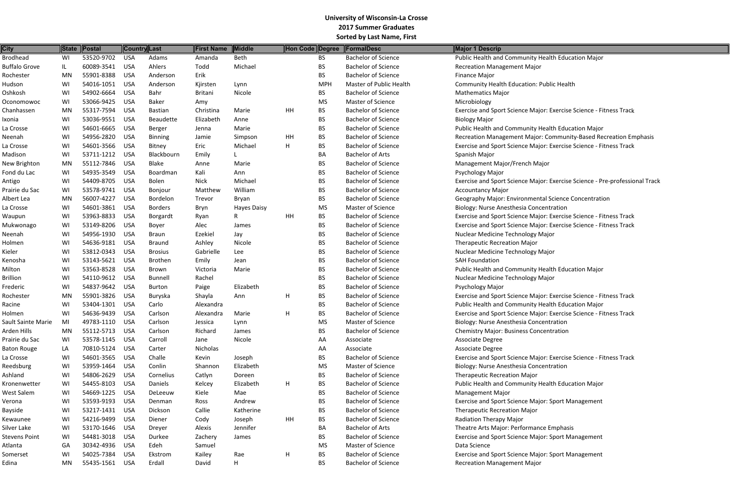| <b>City</b>          | State | $\ $ Postal |            | Country Last    | First Name     | <b>Middle</b>      |    | Hon Code Degree | <b>FormalDesc</b>          | Major 1 Descrip                                           |
|----------------------|-------|-------------|------------|-----------------|----------------|--------------------|----|-----------------|----------------------------|-----------------------------------------------------------|
| <b>Brodhead</b>      | WI    | 53520-9702  | <b>USA</b> | Adams           | Amanda         | Beth               |    | <b>BS</b>       | <b>Bachelor of Science</b> | Public Health and Community Health Education Major        |
| <b>Buffalo Grove</b> | IL    | 60089-3541  | <b>USA</b> | Ahlers          | Todd           | Michael            |    | <b>BS</b>       | <b>Bachelor of Science</b> | <b>Recreation Management Major</b>                        |
| Rochester            | MN    | 55901-8388  | <b>USA</b> | Anderson        | Erik           |                    |    | <b>BS</b>       | <b>Bachelor of Science</b> | <b>Finance Major</b>                                      |
| Hudson               | WI    | 54016-1051  | <b>USA</b> | Anderson        | Kjirsten       | Lynn               |    | <b>MPH</b>      | Master of Public Health    | Community Health Education: Public Health                 |
| Oshkosh              | WI    | 54902-6664  | <b>USA</b> | Bahr            | <b>Britani</b> | Nicole             |    | <b>BS</b>       | <b>Bachelor of Science</b> | <b>Mathematics Major</b>                                  |
| Oconomowoc           | WI    | 53066-9425  | <b>USA</b> | <b>Baker</b>    | Amy            |                    |    | <b>MS</b>       | <b>Master of Science</b>   | Microbiology                                              |
| Chanhassen           | MN    | 55317-7594  | <b>USA</b> | <b>Bastian</b>  | Christina      | Marie              | HH | <b>BS</b>       | <b>Bachelor of Science</b> | Exercise and Sport Science Major: Exercise Science - Fitn |
| Ixonia               | WI    | 53036-9551  | <b>USA</b> | Beaudette       | Elizabeth      | Anne               |    | <b>BS</b>       | <b>Bachelor of Science</b> | <b>Biology Major</b>                                      |
| La Crosse            | WI    | 54601-6665  | <b>USA</b> | Berger          | Jenna          | Marie              |    | <b>BS</b>       | <b>Bachelor of Science</b> | Public Health and Community Health Education Major        |
| Neenah               | WI    | 54956-2820  | <b>USA</b> | <b>Binning</b>  | Jamie          | Simpson            | HH | <b>BS</b>       | <b>Bachelor of Science</b> | Recreation Management Major: Community-Based Recr         |
| La Crosse            | WI    | 54601-3566  | <b>USA</b> | Bitney          | Eric           | Michael            | н  | <b>BS</b>       | <b>Bachelor of Science</b> | Exercise and Sport Science Major: Exercise Science - Fitn |
| Madison              | WI    | 53711-1212  | <b>USA</b> | Blackbourn      | Emily          |                    |    | BA              | <b>Bachelor of Arts</b>    | Spanish Major                                             |
| New Brighton         | MN    | 55112-7846  | <b>USA</b> | <b>Blake</b>    | Anne           | Marie              |    | <b>BS</b>       | <b>Bachelor of Science</b> | Management Major/French Major                             |
| Fond du Lac          | WI    | 54935-3549  | <b>USA</b> | Boardman        | Kali           | Ann                |    | <b>BS</b>       | <b>Bachelor of Science</b> | Psychology Major                                          |
| Antigo               | WI    | 54409-8705  | <b>USA</b> | Bolen           | Nick           | Michael            |    | <b>BS</b>       | <b>Bachelor of Science</b> | Exercise and Sport Science Major: Exercise Science - Pre- |
| Prairie du Sac       | WI    | 53578-9741  | <b>USA</b> | Bonjour         | Matthew        | William            |    | <b>BS</b>       | <b>Bachelor of Science</b> | <b>Accountancy Major</b>                                  |
| Albert Lea           | MN    | 56007-4227  | <b>USA</b> | Bordelon        | Trevor         | Bryan              |    | <b>BS</b>       | <b>Bachelor of Science</b> | Geography Major: Environmental Science Concentration      |
| La Crosse            | WI    | 54601-3861  | <b>USA</b> | <b>Borders</b>  |                | <b>Hayes Daisy</b> |    | <b>MS</b>       | <b>Master of Science</b>   | Biology: Nurse Anesthesia Concentration                   |
| Waupun               | WI    | 53963-8833  | <b>USA</b> |                 | Bryn           | R                  | HH | <b>BS</b>       | <b>Bachelor of Science</b> | Exercise and Sport Science Major: Exercise Science - Fitn |
|                      |       | 53149-8206  |            | <b>Borgardt</b> | Ryan           |                    |    |                 | <b>Bachelor of Science</b> |                                                           |
| Mukwonago            | WI    |             | <b>USA</b> | Boyer           | Alec           | James              |    | <b>BS</b>       |                            | Exercise and Sport Science Major: Exercise Science - Fitn |
| Neenah               | WI    | 54956-1930  | <b>USA</b> | Braun           | Ezekiel        | Jay                |    | <b>BS</b>       | <b>Bachelor of Science</b> | Nuclear Medicine Technology Major                         |
| Holmen               | WI    | 54636-9181  | <b>USA</b> | <b>Braund</b>   | Ashley         | Nicole             |    | <b>BS</b>       | <b>Bachelor of Science</b> | <b>Therapeutic Recreation Major</b>                       |
| Kieler               | WI    | 53812-0343  | <b>USA</b> | <b>Brosius</b>  | Gabrielle      | Lee                |    | <b>BS</b>       | <b>Bachelor of Science</b> | Nuclear Medicine Technology Major                         |
| Kenosha              | WI    | 53143-5621  | <b>USA</b> | <b>Brothen</b>  | Emily          | Jean               |    | <b>BS</b>       | <b>Bachelor of Science</b> | <b>SAH Foundation</b>                                     |
| Milton               | WI    | 53563-8528  | <b>USA</b> | Brown           | Victoria       | Marie              |    | <b>BS</b>       | <b>Bachelor of Science</b> | Public Health and Community Health Education Major        |
| Brillion             | WI    | 54110-9612  | <b>USA</b> | Bunnell         | Rachel         |                    |    | <b>BS</b>       | <b>Bachelor of Science</b> | Nuclear Medicine Technology Major                         |
| Frederic             | WI    | 54837-9642  | <b>USA</b> | Burton          | Paige          | Elizabeth          |    | <b>BS</b>       | <b>Bachelor of Science</b> | Psychology Major                                          |
| Rochester            | MN    | 55901-3826  | <b>USA</b> | Buryska         | Shayla         | Ann                | н  | <b>BS</b>       | <b>Bachelor of Science</b> | Exercise and Sport Science Major: Exercise Science - Fitn |
| Racine               | WI    | 53404-1301  | <b>USA</b> | Carlo           | Alexandra      |                    |    | <b>BS</b>       | <b>Bachelor of Science</b> | Public Health and Community Health Education Major        |
| Holmen               | WI    | 54636-9439  | <b>USA</b> | Carlson         | Alexandra      | Marie              | Н  | <b>BS</b>       | <b>Bachelor of Science</b> | Exercise and Sport Science Major: Exercise Science - Fitn |
| Sault Sainte Marie   | MI    | 49783-1110  | <b>USA</b> | Carlson         | Jessica        | Lynn               |    | MS              | <b>Master of Science</b>   | Biology: Nurse Anesthesia Concentration                   |
| Arden Hills          | MN    | 55112-5713  | <b>USA</b> | Carlson         | Richard        | James              |    | <b>BS</b>       | <b>Bachelor of Science</b> | <b>Chemistry Major: Business Concentration</b>            |
| Prairie du Sac       | WI    | 53578-1145  | <b>USA</b> | Carroll         | Jane           | Nicole             |    | AA              | Associate                  | <b>Associate Degree</b>                                   |
| <b>Baton Rouge</b>   | LA    | 70810-5124  | <b>USA</b> | Carter          | Nicholas       |                    |    | AA              | Associate                  | Associate Degree                                          |
| La Crosse            | WI    | 54601-3565  | <b>USA</b> | Challe          | Kevin          | Joseph             |    | <b>BS</b>       | <b>Bachelor of Science</b> | Exercise and Sport Science Major: Exercise Science - Fitn |
| Reedsburg            | WI    | 53959-1464  | <b>USA</b> | Conlin          | Shannon        | Elizabeth          |    | MS              | Master of Science          | Biology: Nurse Anesthesia Concentration                   |
| Ashland              | WI    | 54806-2629  | <b>USA</b> | Cornelius       | Catlyn         | Doreen             |    | <b>BS</b>       | <b>Bachelor of Science</b> | <b>Therapeutic Recreation Major</b>                       |
| Kronenwetter         | WI    | 54455-8103  | <b>USA</b> | Daniels         | Kelcey         | Elizabeth          | Н  | <b>BS</b>       | <b>Bachelor of Science</b> | Public Health and Community Health Education Major        |
| West Salem           | WI    | 54669-1225  | <b>USA</b> | DeLeeuw         | Kiele          | Mae                |    | <b>BS</b>       | <b>Bachelor of Science</b> | <b>Management Major</b>                                   |
| Verona               | WI    | 53593-9193  | <b>USA</b> | Denman          | Ross           | Andrew             |    | <b>BS</b>       | <b>Bachelor of Science</b> | Exercise and Sport Science Major: Sport Management        |
| Bayside              | WI    | 53217-1431  | <b>USA</b> | Dickson         | Callie         | Katherine          |    | <b>BS</b>       | <b>Bachelor of Science</b> | <b>Therapeutic Recreation Major</b>                       |
| Kewaunee             | WI    | 54216-9499  | <b>USA</b> | Diener          | Cody           | Joseph             | HH | <b>BS</b>       | <b>Bachelor of Science</b> | Radiation Therapy Major                                   |
| Silver Lake          | WI    | 53170-1646  | <b>USA</b> | Dreyer          | Alexis         | Jennifer           |    | BA              | <b>Bachelor of Arts</b>    | Theatre Arts Major: Performance Emphasis                  |
| Stevens Point        | WI    | 54481-3018  | <b>USA</b> | Durkee          | Zachery        | James              |    | <b>BS</b>       | <b>Bachelor of Science</b> | <b>Exercise and Sport Science Major: Sport Management</b> |
| Atlanta              | GA    | 30342-4936  | <b>USA</b> | Edeh            | Samuel         |                    |    | MS              | Master of Science          | Data Science                                              |
| Somerset             | WI    | 54025-7384  | <b>USA</b> | Ekstrom         | Kailey         | Rae                | н  | <b>BS</b>       | <b>Bachelor of Science</b> | Exercise and Sport Science Major: Sport Management        |
| Edina                | MN    | 55435-1561  | <b>USA</b> | Erdall          | David          | H                  |    | <b>BS</b>       | <b>Bachelor of Science</b> | <b>Recreation Management Major</b>                        |
|                      |       |             |            |                 |                |                    |    |                 |                            |                                                           |

Exercise Science - Fitness Track

ommunity-Based Recreation Emphasis Exercise Science - Fitness Track

Exercise Science - Pre-professional Track

Exercise Science - Fitness Track Exercise Science - Fitness Track

Exercise Science - Fitness Track

Exercise Science - Fitness Track

Exercise Science - Fitness Track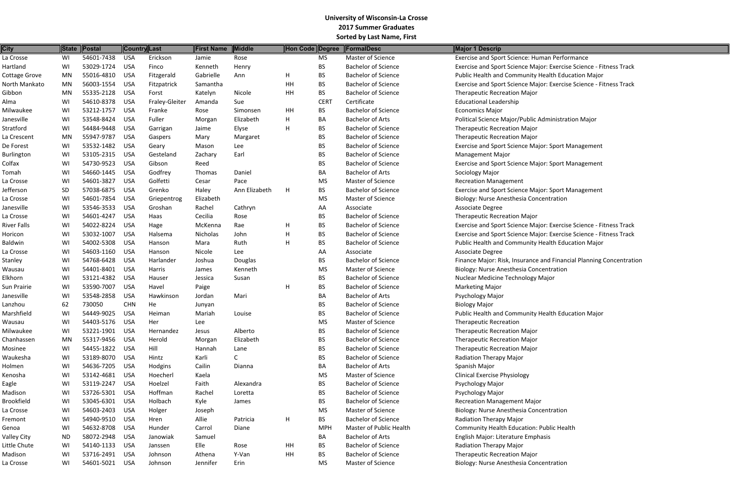| <b>City</b>          | State     | $\ $ Postal |            | Country Last   | First Name | Middle          | Hon Code Degree |             | <b>FormalDesc</b>                       | <b>Major 1 Descrip</b>                                    |
|----------------------|-----------|-------------|------------|----------------|------------|-----------------|-----------------|-------------|-----------------------------------------|-----------------------------------------------------------|
| La Crosse            | WI        | 54601-7438  | <b>USA</b> | Erickson       | Jamie      | Rose            |                 | MS          | Master of Science                       | Exercise and Sport Science: Human Performance             |
| Hartland             | WI        | 53029-1724  | <b>USA</b> | Finco          | Kenneth    | Henry           |                 | <b>BS</b>   | <b>Bachelor of Science</b>              | Exercise and Sport Science Major: Exercise Science - Fi   |
| <b>Cottage Grove</b> | <b>MN</b> | 55016-4810  | <b>USA</b> | Fitzgerald     | Gabrielle  | Ann             | H               | <b>BS</b>   | <b>Bachelor of Science</b>              | Public Health and Community Health Education Major        |
| North Mankato        | MN        | 56003-1554  | <b>USA</b> | Fitzpatrick    | Samantha   |                 | HH              | <b>BS</b>   | <b>Bachelor of Science</b>              | Exercise and Sport Science Major: Exercise Science - Fi   |
| Gibbon               | <b>MN</b> | 55335-2128  | <b>USA</b> | Forst          | Katelyn    | Nicole          | HH              | <b>BS</b>   | <b>Bachelor of Science</b>              | <b>Therapeutic Recreation Major</b>                       |
| Alma                 | WI        | 54610-8378  | <b>USA</b> | Fraley-Gleiter | Amanda     | Sue             |                 | <b>CERT</b> | Certificate                             | <b>Educational Leadership</b>                             |
| Milwaukee            | WI        | 53212-1757  | <b>USA</b> | Franke         | Rose       | Simonsen        | HH              | <b>BS</b>   | <b>Bachelor of Science</b>              | <b>Economics Major</b>                                    |
| Janesville           | WI        | 53548-8424  | <b>USA</b> | Fuller         | Morgan     | Elizabeth       | н               | BA          | <b>Bachelor of Arts</b>                 | Political Science Major/Public Administration Major       |
| Stratford            | WI        | 54484-9448  | <b>USA</b> | Garrigan       | Jaime      | Elyse           | H               | <b>BS</b>   | <b>Bachelor of Science</b>              | <b>Therapeutic Recreation Major</b>                       |
| La Crescent          | <b>MN</b> | 55947-9787  | <b>USA</b> | Gaspers        | Mary       | Margaret        |                 | <b>BS</b>   | <b>Bachelor of Science</b>              | <b>Therapeutic Recreation Major</b>                       |
| De Forest            | WI        | 53532-1482  | <b>USA</b> | Geary          | Mason      | Lee             |                 | <b>BS</b>   | <b>Bachelor of Science</b>              | Exercise and Sport Science Major: Sport Management        |
| <b>Burlington</b>    | WI        | 53105-2315  | <b>USA</b> | Gesteland      | Zachary    | Earl            |                 | <b>BS</b>   | <b>Bachelor of Science</b>              | <b>Management Major</b>                                   |
| Colfax               | WI        | 54730-9523  | <b>USA</b> | Gibson         | Reed       |                 |                 | BS.         | <b>Bachelor of Science</b>              | <b>Exercise and Sport Science Major: Sport Management</b> |
| Tomah                | WI        | 54660-1445  | <b>USA</b> | Godfrey        | Thomas     | Daniel          |                 | BA          | <b>Bachelor of Arts</b>                 | Sociology Major                                           |
| La Crosse            | WI        | 54601-3827  | <b>USA</b> | Golfetti       | Cesar      | Pace            |                 | <b>MS</b>   | <b>Master of Science</b>                | <b>Recreation Management</b>                              |
| Jefferson            | <b>SD</b> | 57038-6875  | <b>USA</b> | Grenko         | Haley      | Ann Elizabeth   | H               | <b>BS</b>   | <b>Bachelor of Science</b>              | <b>Exercise and Sport Science Major: Sport Management</b> |
| La Crosse            | WI        | 54601-7854  | <b>USA</b> |                | Elizabeth  |                 |                 | <b>MS</b>   | <b>Master of Science</b>                | Biology: Nurse Anesthesia Concentration                   |
|                      |           | 53546-3533  | <b>USA</b> | Griepentrog    | Rachel     |                 |                 |             |                                         |                                                           |
| Janesville           | WI        | 54601-4247  |            | Groshan        | Cecilia    | Cathryn<br>Rose |                 | AA          | Associate<br><b>Bachelor of Science</b> | Associate Degree                                          |
| La Crosse            | WI        |             | <b>USA</b> | Haas           |            |                 |                 | <b>BS</b>   |                                         | <b>Therapeutic Recreation Major</b>                       |
| <b>River Falls</b>   | WI        | 54022-8224  | <b>USA</b> | Hage           | McKenna    | Rae             | H               | <b>BS</b>   | <b>Bachelor of Science</b>              | Exercise and Sport Science Major: Exercise Science - Fi   |
| Horicon              | WI        | 53032-1007  | <b>USA</b> | Halsema        | Nicholas   | John            | H               | <b>BS</b>   | <b>Bachelor of Science</b>              | Exercise and Sport Science Major: Exercise Science - Fi   |
| <b>Baldwin</b>       | WI        | 54002-5308  | <b>USA</b> | Hanson         | Mara       | Ruth            | H               | <b>BS</b>   | <b>Bachelor of Science</b>              | Public Health and Community Health Education Major        |
| La Crosse            | WI        | 54603-1160  | <b>USA</b> | Hanson         | Nicole     | Lee             |                 | AA          | Associate                               | Associate Degree                                          |
| Stanley              | WI        | 54768-6428  | <b>USA</b> | Harlander      | Joshua     | Douglas         |                 | <b>BS</b>   | <b>Bachelor of Science</b>              | Finance Major: Risk, Insurance and Financial Planning     |
| Wausau               | WI        | 54401-8401  | <b>USA</b> | Harris         | James      | Kenneth         |                 | <b>MS</b>   | <b>Master of Science</b>                | Biology: Nurse Anesthesia Concentration                   |
| Elkhorn              | WI        | 53121-4382  | <b>USA</b> | Hauser         | Jessica    | Susan           |                 | <b>BS</b>   | <b>Bachelor of Science</b>              | Nuclear Medicine Technology Major                         |
| Sun Prairie          | WI        | 53590-7007  | <b>USA</b> | Havel          | Paige      |                 | H               | <b>BS</b>   | <b>Bachelor of Science</b>              | <b>Marketing Major</b>                                    |
| Janesville           | WI        | 53548-2858  | <b>USA</b> | Hawkinson      | Jordan     | Mari            |                 | BA          | <b>Bachelor of Arts</b>                 | Psychology Major                                          |
| Lanzhou              | 62        | 730050      | <b>CHN</b> | He             | Junyan     |                 |                 | <b>BS</b>   | <b>Bachelor of Science</b>              | <b>Biology Major</b>                                      |
| Marshfield           | WI        | 54449-9025  | <b>USA</b> | Heiman         | Mariah     | Louise          |                 | BS          | <b>Bachelor of Science</b>              | Public Health and Community Health Education Major        |
| Wausau               | WI        | 54403-5176  | <b>USA</b> | Her            | Lee        |                 |                 | <b>MS</b>   | Master of Science                       | <b>Therapeutic Recreation</b>                             |
| Milwaukee            | WI        | 53221-1901  | <b>USA</b> | Hernandez      | Jesus      | Alberto         |                 | <b>BS</b>   | <b>Bachelor of Science</b>              | <b>Therapeutic Recreation Major</b>                       |
| Chanhassen           | <b>MN</b> | 55317-9456  | <b>USA</b> | Herold         | Morgan     | Elizabeth       |                 | <b>BS</b>   | <b>Bachelor of Science</b>              | <b>Therapeutic Recreation Major</b>                       |
| Mosinee              | WI        | 54455-1822  | <b>USA</b> | Hill           | Hannah     | Lane            |                 | <b>BS</b>   | <b>Bachelor of Science</b>              | Therapeutic Recreation Major                              |
| Waukesha             | WI        | 53189-8070  | <b>USA</b> | Hintz          | Karli      | C               |                 | <b>BS</b>   | <b>Bachelor of Science</b>              | Radiation Therapy Major                                   |
| Holmen               | WI        | 54636-7205  | <b>USA</b> | Hodgins        | Cailin     | Dianna          |                 | BA          | <b>Bachelor of Arts</b>                 | Spanish Major                                             |
| Kenosha              | WI        | 53142-4681  | <b>USA</b> | Hoecherl       | Kaela      |                 |                 | <b>MS</b>   | Master of Science                       | <b>Clinical Exercise Physiology</b>                       |
| Eagle                | WI        | 53119-2247  | <b>USA</b> | Hoelzel        | Faith      | Alexandra       |                 | <b>BS</b>   | <b>Bachelor of Science</b>              | Psychology Major                                          |
| Madison              | WI        | 53726-5301  | <b>USA</b> | Hoffman        | Rachel     | Loretta         |                 | BS          | <b>Bachelor of Science</b>              | Psychology Major                                          |
| <b>Brookfield</b>    | WI        | 53045-6301  | <b>USA</b> | Holbach        | Kyle       | James           |                 | <b>BS</b>   | <b>Bachelor of Science</b>              | <b>Recreation Management Major</b>                        |
| La Crosse            | WI        | 54603-2403  | <b>USA</b> | Holger         | Joseph     |                 |                 | <b>MS</b>   | Master of Science                       | Biology: Nurse Anesthesia Concentration                   |
| Fremont              | WI        | 54940-9510  | <b>USA</b> | Hren           | Allie      | Patricia        | H               | <b>BS</b>   | <b>Bachelor of Science</b>              | Radiation Therapy Major                                   |
| Genoa                | WI        | 54632-8708  | <b>USA</b> | Hunder         | Carrol     | Diane           |                 | <b>MPH</b>  | Master of Public Health                 | Community Health Education: Public Health                 |
| Valley City          | <b>ND</b> | 58072-2948  | <b>USA</b> | Janowiak       | Samuel     |                 |                 | BA          | <b>Bachelor of Arts</b>                 | English Major: Literature Emphasis                        |
| Little Chute         | WI        | 54140-1133  | <b>USA</b> | Janssen        | Elle       | Rose            | HH              | <b>BS</b>   | <b>Bachelor of Science</b>              | Radiation Therapy Major                                   |
| Madison              | WI        | 53716-2491  | <b>USA</b> | Johnson        | Athena     | Y-Van           | HH              | BS          | <b>Bachelor of Science</b>              | <b>Therapeutic Recreation Major</b>                       |
| La Crosse            | WI        | 54601-5021  | <b>USA</b> | Johnson        | Jennifer   | Erin            |                 | <b>MS</b>   | Master of Science                       | Biology: Nurse Anesthesia Concentration                   |
|                      |           |             |            |                |            |                 |                 |             |                                         |                                                           |

Exercise Science - Fitness Track Exercise Science - Fitness Track

Exercise Science - Fitness Track Exercise Science - Fitness Track

**Financial Planning Concentration**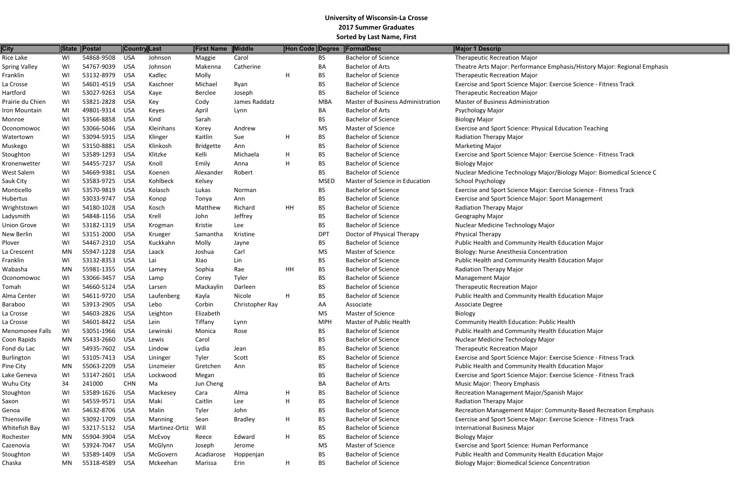| <b>City</b>          | State     | <b>Postal</b> | Country Last |                | <b>First Name</b> | Middle          | Hon Code Degree |             | FormalDesc                               | Major 1 Descrip                                           |
|----------------------|-----------|---------------|--------------|----------------|-------------------|-----------------|-----------------|-------------|------------------------------------------|-----------------------------------------------------------|
| Rice Lake            | WI        | 54868-9508    | <b>USA</b>   | Johnson        | Maggie            | Carol           |                 | BS.         | <b>Bachelor of Science</b>               | <b>Therapeutic Recreation Major</b>                       |
| <b>Spring Valley</b> | WI        | 54767-9039    | <b>USA</b>   | Johnson        | Makenna           | Catherine       |                 | BA          | <b>Bachelor of Arts</b>                  | Theatre Arts Major: Performance Emphasis/History Maj      |
| Franklin             | WI        | 53132-8979    | <b>USA</b>   | Kadlec         | Molly             |                 | H               | <b>BS</b>   | <b>Bachelor of Science</b>               | <b>Therapeutic Recreation Major</b>                       |
| La Crosse            | WI        | 54601-4519    | <b>USA</b>   | Kaschner       | Michael           | Ryan            |                 | ВS          | <b>Bachelor of Science</b>               | Exercise and Sport Science Major: Exercise Science - Fitr |
| Hartford             | WI        | 53027-9263    | <b>USA</b>   | Kaye           | Berclee           | Joseph          |                 | <b>BS</b>   | <b>Bachelor of Science</b>               | <b>Therapeutic Recreation Major</b>                       |
| Prairie du Chien     | WI        | 53821-2828    | <b>USA</b>   | Key            | Cody              | James Raddatz   |                 | <b>MBA</b>  | <b>Master of Business Administration</b> | <b>Master of Business Administration</b>                  |
| Iron Mountain        | MI        | 49801-9314    | <b>USA</b>   | Keyes          | April             | Lynn            |                 | BA          | <b>Bachelor of Arts</b>                  | Psychology Major                                          |
| Monroe               | WI        | 53566-8858    | <b>USA</b>   | Kind           | Sarah             |                 |                 | <b>BS</b>   | <b>Bachelor of Science</b>               | <b>Biology Major</b>                                      |
| Oconomowoc           | WI        | 53066-5046    | <b>USA</b>   | Kleinhans      | Korey             | Andrew          |                 | <b>MS</b>   | Master of Science                        | Exercise and Sport Science: Physical Education Teaching   |
| Watertown            | WI        | 53094-5915    | <b>USA</b>   | Klinger        | Kaitlin           | Sue             | H               | <b>BS</b>   | <b>Bachelor of Science</b>               | <b>Radiation Therapy Major</b>                            |
| Muskego              | WI        | 53150-8881    | <b>USA</b>   | Klinkosh       | <b>Bridgette</b>  | Ann             |                 | <b>BS</b>   | <b>Bachelor of Science</b>               | <b>Marketing Major</b>                                    |
| Stoughton            | WI        | 53589-1293    | <b>USA</b>   | Klitzke        | Kelli             | Michaela        | H               | <b>BS</b>   | <b>Bachelor of Science</b>               | Exercise and Sport Science Major: Exercise Science - Fitr |
| Kronenwetter         | WI        | 54455-7237    | <b>USA</b>   | Knoll          | Emily             | Anna            | H               | <b>BS</b>   | <b>Bachelor of Science</b>               | <b>Biology Major</b>                                      |
| <b>West Salem</b>    | WI        | 54669-9381    | <b>USA</b>   | Koenen         | Alexander         | Robert          |                 | <b>BS</b>   | <b>Bachelor of Science</b>               | Nuclear Medicine Technology Major/Biology Major: Bio      |
| Sauk City            | WI        | 53583-9725    | <b>USA</b>   | Kohlbeck       | Kelsey            |                 |                 | <b>MSED</b> | Master of Science in Education           | <b>School Psychology</b>                                  |
| Monticello           | WI        | 53570-9819    | <b>USA</b>   | Kolasch        | Lukas             | Norman          |                 | <b>BS</b>   | <b>Bachelor of Science</b>               | Exercise and Sport Science Major: Exercise Science - Fitr |
| Hubertus             | WI        | 53033-9747    | <b>USA</b>   | Konop          | Tonya             | Ann             |                 | <b>BS</b>   | <b>Bachelor of Science</b>               | <b>Exercise and Sport Science Major: Sport Management</b> |
| Wrightstown          | WI        | 54180-1028    | <b>USA</b>   | Kosch          | Matthew           | Richard         | HH              | <b>BS</b>   | <b>Bachelor of Science</b>               | <b>Radiation Therapy Major</b>                            |
| Ladysmith            | WI        | 54848-1156    | <b>USA</b>   | Krell          | John              | Jeffrey         |                 | <b>BS</b>   | <b>Bachelor of Science</b>               | Geography Major                                           |
| <b>Union Grove</b>   | WI        | 53182-1319    | <b>USA</b>   | Krogman        | Kristie           | Lee             |                 | <b>BS</b>   | <b>Bachelor of Science</b>               | Nuclear Medicine Technology Major                         |
| New Berlin           | WI        | 53151-2000    | <b>USA</b>   | Krueger        | Samantha          | Kristine        |                 | <b>DPT</b>  | Doctor of Physical Therapy               | <b>Physical Therapy</b>                                   |
| Plover               | WI        | 54467-2310    | <b>USA</b>   | Kuckkahn       | Molly             | Jayne           |                 | <b>BS</b>   | <b>Bachelor of Science</b>               | Public Health and Community Health Education Major        |
| La Crescent          | <b>MN</b> | 55947-1228    | <b>USA</b>   | Laack          | Joshua            | Carl            |                 | <b>MS</b>   | <b>Master of Science</b>                 | Biology: Nurse Anesthesia Concentration                   |
| Franklin             | WI        | 53132-8353    | <b>USA</b>   | Lai            | Xiao              | Lin             |                 | <b>BS</b>   | <b>Bachelor of Science</b>               | Public Health and Community Health Education Major        |
| Wabasha              | MN        | 55981-1355    | <b>USA</b>   | Lamey          | Sophia            | Rae             | HH              | <b>BS</b>   | <b>Bachelor of Science</b>               | Radiation Therapy Major                                   |
| Oconomowoc           | WI        | 53066-3457    | <b>USA</b>   | Lamp           | Corey             | Tyler           |                 | <b>BS</b>   | <b>Bachelor of Science</b>               | <b>Management Major</b>                                   |
| Tomah                | WI        | 54660-5124    | <b>USA</b>   | Larsen         | Mackaylin         | Darleen         |                 | <b>BS</b>   | <b>Bachelor of Science</b>               | <b>Therapeutic Recreation Major</b>                       |
| Alma Center          | WI        | 54611-9720    | <b>USA</b>   | Laufenberg     | Kayla             | Nicole          | H               | <b>BS</b>   | <b>Bachelor of Science</b>               | Public Health and Community Health Education Major        |
| Baraboo              | WI        | 53913-2905    | <b>USA</b>   | Lebo           | Corbin            | Christopher Ray |                 | AA          | Associate                                | Associate Degree                                          |
| La Crosse            | WI        | 54603-2826    | <b>USA</b>   | Leighton       | Elizabeth         |                 |                 | <b>MS</b>   | <b>Master of Science</b>                 | Biology                                                   |
| La Crosse            | WI        | 54601-8422    | <b>USA</b>   | Lein           | Tiffany           | Lynn            |                 | <b>MPH</b>  | Master of Public Health                  | <b>Community Health Education: Public Health</b>          |
| Menomonee Falls      | WI        | 53051-1966    | <b>USA</b>   | Lewinski       | Monica            | Rose            |                 | <b>BS</b>   | <b>Bachelor of Science</b>               | Public Health and Community Health Education Major        |
| Coon Rapids          | MN        | 55433-2660    | <b>USA</b>   | Lewis          | Carol             |                 |                 | <b>BS</b>   | <b>Bachelor of Science</b>               | Nuclear Medicine Technology Major                         |
| Fond du Lac          | WI        | 54935-7602    | <b>USA</b>   | Lindow         | Lydia             | Jean            |                 | <b>BS</b>   | <b>Bachelor of Science</b>               | <b>Therapeutic Recreation Major</b>                       |
| <b>Burlington</b>    | WI        | 53105-7413    | <b>USA</b>   | Lininger       | Tyler             | Scott           |                 | <b>BS</b>   | <b>Bachelor of Science</b>               | Exercise and Sport Science Major: Exercise Science - Fitr |
| Pine City            | MN        | 55063-2209    | <b>USA</b>   | Linzmeier      | Gretchen          | Ann             |                 | <b>BS</b>   | <b>Bachelor of Science</b>               | Public Health and Community Health Education Major        |
| Lake Geneva          | WI        | 53147-2601    | <b>USA</b>   | Lockwood       | Megan             |                 |                 | <b>BS</b>   | <b>Bachelor of Science</b>               | Exercise and Sport Science Major: Exercise Science - Fitr |
| Wuhu City            | 34        | 241000        | <b>CHN</b>   | Ma             | Jun Cheng         |                 |                 | BA          | <b>Bachelor of Arts</b>                  | <b>Music Major: Theory Emphasis</b>                       |
| Stoughton            | WI        | 53589-1626    | <b>USA</b>   | Mackesey       | Cara              | Alma            | H               | <b>BS</b>   | <b>Bachelor of Science</b>               | Recreation Management Major/Spanish Major                 |
| Saxon                | WI        | 54559-9571    | <b>USA</b>   | Maki           | Caitlin           | Lee             | H               | <b>BS</b>   | <b>Bachelor of Science</b>               | <b>Radiation Therapy Major</b>                            |
| Genoa                | WI        | 54632-8706    | <b>USA</b>   | Malin          | Tyler             | John            |                 | <b>BS</b>   | <b>Bachelor of Science</b>               | Recreation Management Major: Community-Based Reci         |
| Thiensville          | WI        | 53092-1709    | <b>USA</b>   | Manning        | Sean              | <b>Bradley</b>  | H               | <b>BS</b>   | <b>Bachelor of Science</b>               | Exercise and Sport Science Major: Exercise Science - Fitr |
| Whitefish Bay        | WI        | 53217-5132    | <b>USA</b>   | Martinez-Ortiz | Will              |                 |                 | <b>BS</b>   | <b>Bachelor of Science</b>               | International Business Major                              |
| Rochester            | MN        | 55904-3904    | <b>USA</b>   | McEvoy         | Reece             | Edward          | H               | <b>BS</b>   | <b>Bachelor of Science</b>               | <b>Biology Major</b>                                      |
| Cazenovia            | WI        | 53924-7047    | <b>USA</b>   | McGlynn        | Joseph            | Jerome          |                 | MS          | Master of Science                        | Exercise and Sport Science: Human Performance             |
| Stoughton            | WI        | 53589-1409    | <b>USA</b>   | McGovern       | Acadiarose        | Hoppenjan       |                 | <b>BS</b>   | <b>Bachelor of Science</b>               | Public Health and Community Health Education Major        |
| Chaska               | MN        | 55318-4589    | <b>USA</b>   | Mckeehan       | Marissa           | Erin            | H               | <b>BS</b>   | <b>Bachelor of Science</b>               | <b>Biology Major: Biomedical Science Concentration</b>    |
|                      |           |               |              |                |                   |                 |                 |             |                                          |                                                           |

Emphasis/History Major: Regional Emphasis

Exercise Science - Fitness Track

Exercise Science - Fitness Track

or/Biology Major: Biomedical Science C

Exercise Science - Fitness Track

Exercise Science - Fitness Track Exercise Science - Fitness Track

ommunity-Based Recreation Emphasis Exercise Science - Fitness Track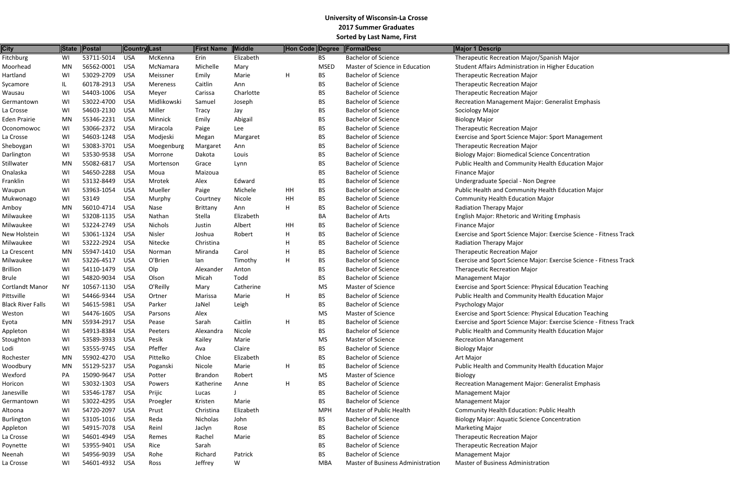| <b>City</b>              | <b>State</b> | Postal     |            | <b>Country</b> Last | <b>First Name</b> | <b>Middle</b> |    | Hon Code Degree | FormalDesc                        | Major 1 Descrip                                           |
|--------------------------|--------------|------------|------------|---------------------|-------------------|---------------|----|-----------------|-----------------------------------|-----------------------------------------------------------|
| Fitchburg                | WI           | 53711-5014 | <b>USA</b> | McKenna             | Erin              | Elizabeth     |    | <b>BS</b>       | <b>Bachelor of Science</b>        | Therapeutic Recreation Major/Spanish Major                |
| Moorhead                 | <b>MN</b>    | 56562-0001 | <b>USA</b> | McNamara            | Michelle          | Mary          |    | <b>MSED</b>     | Master of Science in Education    | Student Affairs Administration in Higher Education        |
| Hartland                 | WI           | 53029-2709 | <b>USA</b> | Meissner            | Emily             | Marie         | H  | <b>BS</b>       | <b>Bachelor of Science</b>        | <b>Therapeutic Recreation Major</b>                       |
| Sycamore                 | IL           | 60178-2913 | <b>USA</b> | Mereness            | Caitlin           | Ann           |    | <b>BS</b>       | <b>Bachelor of Science</b>        | <b>Therapeutic Recreation Major</b>                       |
| Wausau                   | WI           | 54403-1006 | <b>USA</b> | Meyer               | Carissa           | Charlotte     |    | BS              | <b>Bachelor of Science</b>        | <b>Therapeutic Recreation Major</b>                       |
| Germantown               | WI           | 53022-4700 | <b>USA</b> | Midlikowski         | Samuel            | Joseph        |    | BS              | <b>Bachelor of Science</b>        | Recreation Management Major: Generalist Emphasis          |
| La Crosse                | WI           | 54603-2130 | <b>USA</b> | Miller              | Tracy             | Jay           |    | <b>BS</b>       | <b>Bachelor of Science</b>        | Sociology Major                                           |
| Eden Prairie             | MN           | 55346-2231 | <b>USA</b> | Minnick             | Emily             | Abigail       |    | <b>BS</b>       | <b>Bachelor of Science</b>        | <b>Biology Major</b>                                      |
| Oconomowoc               | WI           | 53066-2372 | <b>USA</b> | Miracola            | Paige             | Lee           |    | BS              | <b>Bachelor of Science</b>        | <b>Therapeutic Recreation Major</b>                       |
| La Crosse                | WI           | 54603-1248 | <b>USA</b> | Modjeski            | Megan             | Margaret      |    | <b>BS</b>       | <b>Bachelor of Science</b>        | Exercise and Sport Science Major: Sport Management        |
| Sheboygan                | WI           | 53083-3701 | <b>USA</b> | Moegenburg          | Margaret          | Ann           |    | <b>BS</b>       | <b>Bachelor of Science</b>        | <b>Therapeutic Recreation Major</b>                       |
| Darlington               | WI           | 53530-9538 | <b>USA</b> | Morrone             | Dakota            | Louis         |    | <b>BS</b>       | <b>Bachelor of Science</b>        | <b>Biology Major: Biomedical Science Concentration</b>    |
| Stillwater               | MN           | 55082-6817 | <b>USA</b> | Mortenson           | Grace             | Lynn          |    | BS              | <b>Bachelor of Science</b>        | Public Health and Community Health Education Major        |
| Onalaska                 | WI           | 54650-2288 | <b>USA</b> | Moua                | Maizoua           |               |    | BS              | <b>Bachelor of Science</b>        | <b>Finance Major</b>                                      |
| Franklin                 | WI           | 53132-8449 | <b>USA</b> | Mrotek              | Alex              | Edward        |    | <b>BS</b>       | <b>Bachelor of Science</b>        | Undergraduate Special - Non Degree                        |
| Waupun                   | WI           | 53963-1054 | <b>USA</b> | Mueller             | Paige             | Michele       | HH | <b>BS</b>       | <b>Bachelor of Science</b>        | Public Health and Community Health Education Major        |
| Mukwonago                | WI           | 53149      | <b>USA</b> | Murphy              | Courtney          | Nicole        | HH | <b>BS</b>       | <b>Bachelor of Science</b>        | <b>Community Health Education Major</b>                   |
| Amboy                    | MN           | 56010-4714 | <b>USA</b> | Nase                | Brittany          | Ann           | H  | BS              | <b>Bachelor of Science</b>        | Radiation Therapy Major                                   |
| Milwaukee                | WI           | 53208-1135 | <b>USA</b> | Nathan              | Stella            | Elizabeth     |    | <b>BA</b>       | <b>Bachelor of Arts</b>           | English Major: Rhetoric and Writing Emphasis              |
| Milwaukee                | WI           | 53224-2749 | <b>USA</b> | Nichols             | Justin            | Albert        | HH | BS              | <b>Bachelor of Science</b>        | <b>Finance Major</b>                                      |
| New Holstein             | WI           | 53061-1324 | <b>USA</b> | Nisler              | Joshua            | Robert        | H  | <b>BS</b>       | <b>Bachelor of Science</b>        | Exercise and Sport Science Major: Exercise Science - Fitr |
| Milwaukee                | WI           | 53222-2924 | <b>USA</b> | Nitecke             | Christina         |               | H  | <b>BS</b>       | <b>Bachelor of Science</b>        | <b>Radiation Therapy Major</b>                            |
|                          | MN           | 55947-1410 | <b>USA</b> |                     | Miranda           | Carol         | H  | BS              | <b>Bachelor of Science</b>        | <b>Therapeutic Recreation Major</b>                       |
| La Crescent              |              | 53226-4517 |            | Norman              |                   |               | H  |                 | <b>Bachelor of Science</b>        |                                                           |
| Milwaukee                | WI           |            | <b>USA</b> | O'Brien             | lan               | Timothy       |    | BS              |                                   | Exercise and Sport Science Major: Exercise Science - Fitr |
| Brillion                 | WI           | 54110-1479 | <b>USA</b> | Olp                 | Alexander         | Anton         |    | <b>BS</b>       | <b>Bachelor of Science</b>        | <b>Therapeutic Recreation Major</b>                       |
| Brule                    | WI           | 54820-9034 | <b>USA</b> | Olson               | Micah             | Todd          |    | <b>BS</b>       | <b>Bachelor of Science</b>        | <b>Management Major</b>                                   |
| Cortlandt Manor          | <b>NY</b>    | 10567-1130 | <b>USA</b> | O'Reilly            | Mary              | Catherine     |    | MS              | <b>Master of Science</b>          | Exercise and Sport Science: Physical Education Teaching   |
| Pittsville               | WI           | 54466-9344 | <b>USA</b> | Ortner              | Marissa           | Marie         | H  | BS              | <b>Bachelor of Science</b>        | Public Health and Community Health Education Major        |
| <b>Black River Falls</b> | WI           | 54615-5981 | <b>USA</b> | Parker              | JaNel             | Leigh         |    | <b>BS</b>       | <b>Bachelor of Science</b>        | Psychology Major                                          |
| Weston                   | WI           | 54476-1605 | <b>USA</b> | Parsons             | Alex              |               |    | <b>MS</b>       | <b>Master of Science</b>          | Exercise and Sport Science: Physical Education Teaching   |
| Eyota                    | MN           | 55934-2917 | <b>USA</b> | Pease               | Sarah             | Caitlin       | H  | <b>BS</b>       | <b>Bachelor of Science</b>        | Exercise and Sport Science Major: Exercise Science - Fitr |
| Appleton                 | WI           | 54913-8384 | <b>USA</b> | Peeters             | Alexandra         | Nicole        |    | ВS              | <b>Bachelor of Science</b>        | Public Health and Community Health Education Major        |
| Stoughton                | WI           | 53589-3933 | <b>USA</b> | Pesik               | Kailey            | Marie         |    | MS              | Master of Science                 | <b>Recreation Management</b>                              |
| Lodi                     | WI           | 53555-9745 | <b>USA</b> | Pfeffer             | Ava               | Claire        |    | <b>BS</b>       | <b>Bachelor of Science</b>        | <b>Biology Major</b>                                      |
| Rochester                | <b>MN</b>    | 55902-4270 | <b>USA</b> | Pittelko            | Chloe             | Elizabeth     |    | <b>BS</b>       | <b>Bachelor of Science</b>        | Art Major                                                 |
| Woodbury                 | MN           | 55129-5237 | <b>USA</b> | Poganski            | Nicole            | Marie         | H  | <b>BS</b>       | <b>Bachelor of Science</b>        | Public Health and Community Health Education Major        |
| Wexford                  | PА           | 15090-9647 | <b>USA</b> | Potter              | <b>Brandon</b>    | Robert        |    | MS              | Master of Science                 | Biology                                                   |
| Horicon                  | WI           | 53032-1303 | <b>USA</b> | Powers              | Katherine         | Anne          | H  | <b>BS</b>       | <b>Bachelor of Science</b>        | Recreation Management Major: Generalist Emphasis          |
| Janesville               | WI           | 53546-1787 | <b>USA</b> | Prijic              | Lucas             |               |    | <b>BS</b>       | <b>Bachelor of Science</b>        | <b>Management Major</b>                                   |
| Germantown               | WI           | 53022-4295 | <b>USA</b> | Proegler            | Kristen           | Marie         |    | <b>BS</b>       | <b>Bachelor of Science</b>        | <b>Management Major</b>                                   |
| Altoona                  | WI           | 54720-2097 | <b>USA</b> | Prust               | Christina         | Elizabeth     |    | MPH             | Master of Public Health           | Community Health Education: Public Health                 |
| <b>Burlington</b>        | WI           | 53105-1016 | <b>USA</b> | Reda                | Nicholas          | John          |    | <b>BS</b>       | <b>Bachelor of Science</b>        | <b>Biology Major: Aquatic Science Concentration</b>       |
| Appleton                 | WI           | 54915-7078 | <b>USA</b> | Reinl               | Jaclyn            | Rose          |    | <b>BS</b>       | <b>Bachelor of Science</b>        | <b>Marketing Major</b>                                    |
| La Crosse                | WI           | 54601-4949 | <b>USA</b> | Remes               | Rachel            | Marie         |    | <b>BS</b>       | <b>Bachelor of Science</b>        | <b>Therapeutic Recreation Major</b>                       |
| Poynette                 | WI           | 53955-9401 | <b>USA</b> | Rice                | Sarah             |               |    | <b>BS</b>       | <b>Bachelor of Science</b>        | <b>Therapeutic Recreation Major</b>                       |
| Neenah                   | WI           | 54956-9039 | <b>USA</b> | Rohe                | Richard           | Patrick       |    | <b>BS</b>       | <b>Bachelor of Science</b>        | <b>Management Major</b>                                   |
| La Crosse                | WI           | 54601-4932 | <b>USA</b> | Ross                | Jeffrey           | W             |    | <b>MBA</b>      | Master of Business Administration | <b>Master of Business Administration</b>                  |
|                          |              |            |            |                     |                   |               |    |                 |                                   |                                                           |

Exercise Science - Fitness Track

Exercise Science - Fitness Track

Exercise Science - Fitness Track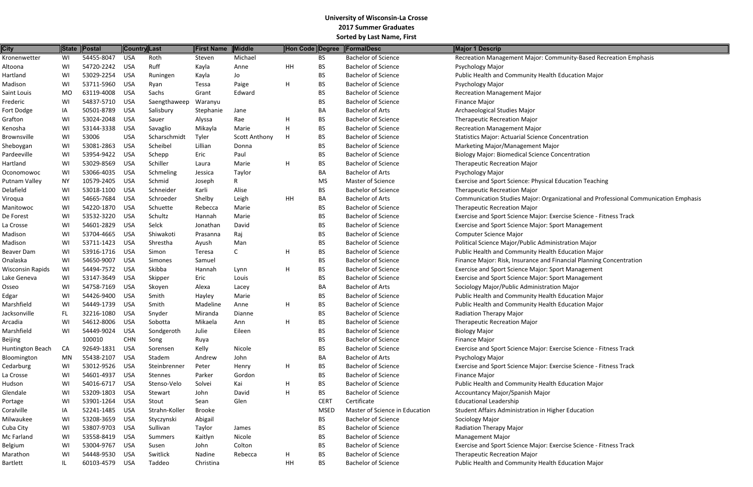| <b>City</b>                        | <b>State</b> | Postal                   |            | Country Last     | First Name    | <b>Middle</b>        | Hon Code Degree |             | FormalDesc                     | Major 1 Descrip                                           |
|------------------------------------|--------------|--------------------------|------------|------------------|---------------|----------------------|-----------------|-------------|--------------------------------|-----------------------------------------------------------|
| Kronenwetter                       | WI           | 54455-8047               | <b>USA</b> | Roth             | Steven        | Michael              |                 | <b>BS</b>   | <b>Bachelor of Science</b>     | Recreation Management Major: Community-Based Reci         |
| Altoona                            | WI           | 54720-2242               | <b>USA</b> | Ruff             | Kayla         | Anne                 | HH              | <b>BS</b>   | <b>Bachelor of Science</b>     | Psychology Major                                          |
| Hartland                           | WI           | 53029-2254               | <b>USA</b> | Runingen         | Kayla         | Jo                   |                 | <b>BS</b>   | <b>Bachelor of Science</b>     | Public Health and Community Health Education Major        |
| Madison                            | WI           | 53711-5960               | <b>USA</b> | Ryan             | Tessa         | Paige                | H               | <b>BS</b>   | <b>Bachelor of Science</b>     | Psychology Major                                          |
| Saint Louis                        | <b>MO</b>    | 63119-4008               | <b>USA</b> | Sachs            | Grant         | Edward               |                 | <b>BS</b>   | <b>Bachelor of Science</b>     | <b>Recreation Management Major</b>                        |
| Frederic                           | WI           | 54837-5710               | <b>USA</b> | Saengthaweep     | Waranyu       |                      |                 | <b>BS</b>   | <b>Bachelor of Science</b>     | <b>Finance Major</b>                                      |
| Fort Dodge                         | ΙA           | 50501-8789               | <b>USA</b> | Salisbury        | Stephanie     | Jane                 |                 | BA          | <b>Bachelor of Arts</b>        | Archaeological Studies Major                              |
| Grafton                            | WI           | 53024-2048               | <b>USA</b> | Sauer            | Alyssa        | Rae                  | H               | <b>BS</b>   | <b>Bachelor of Science</b>     | <b>Therapeutic Recreation Major</b>                       |
| Kenosha                            | WI           | 53144-3338               | <b>USA</b> | Savaglio         | Mikayla       | Marie                | H               | <b>BS</b>   | <b>Bachelor of Science</b>     | <b>Recreation Management Major</b>                        |
| Brownsville                        | WI           | 53006                    | <b>USA</b> | Scharschmidt     | Tyler         | <b>Scott Anthony</b> | H               | BS          | <b>Bachelor of Science</b>     | <b>Statistics Major: Actuarial Science Concentration</b>  |
| Sheboygan                          | WI           | 53081-2863               | <b>USA</b> | Scheibel         | Lillian       | Donna                |                 | <b>BS</b>   | <b>Bachelor of Science</b>     | Marketing Major/Management Major                          |
| Pardeeville                        | WI           | 53954-9422               | <b>USA</b> | Schepp           | Eric          | Paul                 |                 | <b>BS</b>   | <b>Bachelor of Science</b>     | <b>Biology Major: Biomedical Science Concentration</b>    |
| Hartland                           | WI           | 53029-8569               | <b>USA</b> | Schiller         | Laura         | Marie                | H               | <b>BS</b>   | <b>Bachelor of Science</b>     | <b>Therapeutic Recreation Major</b>                       |
| Oconomowoc                         | WI           | 53066-4035               | <b>USA</b> | Schmeling        | Jessica       | Taylor               |                 | BA          | <b>Bachelor of Arts</b>        | Psychology Major                                          |
| Putnam Valley                      | ΝY           | 10579-2405               | <b>USA</b> | Schmid           | Joseph        | R.                   |                 | <b>MS</b>   | <b>Master of Science</b>       | Exercise and Sport Science: Physical Education Teaching   |
| Delafield                          | WI           | 53018-1100               | <b>USA</b> | Schneider        | Karli         | Alise                |                 | <b>BS</b>   | <b>Bachelor of Science</b>     | <b>Therapeutic Recreation Major</b>                       |
| Viroqua                            | WI           | 54665-7684               | <b>USA</b> | Schroeder        | Shelby        | Leigh                | HH              | <b>BA</b>   | <b>Bachelor of Arts</b>        | Communication Studies Major: Organizational and Profe     |
| Manitowoc                          | WI           | 54220-1870               | <b>USA</b> | Schuette         | Rebecca       | Marie                |                 | <b>BS</b>   | <b>Bachelor of Science</b>     | <b>Therapeutic Recreation Major</b>                       |
| De Forest                          | WI           | 53532-3220               | <b>USA</b> | Schultz          | Hannah        | Marie                |                 | <b>BS</b>   | <b>Bachelor of Science</b>     | Exercise and Sport Science Major: Exercise Science - Fitr |
| La Crosse                          | WI           | 54601-2829               | <b>USA</b> | Selck            | Jonathan      | David                |                 | BS          | <b>Bachelor of Science</b>     | <b>Exercise and Sport Science Major: Sport Management</b> |
| Madison                            | WI           | 53704-4665               | <b>USA</b> | Shiwakoti        | Prasanna      | Raj                  |                 | <b>BS</b>   | <b>Bachelor of Science</b>     | <b>Computer Science Major</b>                             |
| Madison                            | WI           | 53711-1423               | <b>USA</b> | Shrestha         | Ayush         | Man                  |                 | <b>BS</b>   | <b>Bachelor of Science</b>     | Political Science Major/Public Administration Major       |
| Beaver Dam                         | WI           | 53916-1716               | <b>USA</b> | Simon            | Teresa        | C                    | H               | BS          | <b>Bachelor of Science</b>     | Public Health and Community Health Education Major        |
| Onalaska                           | WI           | 54650-9007               | <b>USA</b> | Simones          | Samuel        |                      |                 | <b>BS</b>   | <b>Bachelor of Science</b>     | Finance Major: Risk, Insurance and Financial Planning Co  |
| Wisconsin Rapids                   | WI           | 54494-7572               | <b>USA</b> | Skibba           | Hannah        | Lynn                 | H               | <b>BS</b>   | <b>Bachelor of Science</b>     | Exercise and Sport Science Major: Sport Management        |
| Lake Geneva                        | WI           | 53147-3649               | <b>USA</b> | Skipper          | Eric          | Louis                |                 | <b>BS</b>   | <b>Bachelor of Science</b>     | Exercise and Sport Science Major: Sport Management        |
| Osseo                              | WI           | 54758-7169               | <b>USA</b> | Skoyen           | Alexa         | Lacey                |                 | BA          | <b>Bachelor of Arts</b>        | Sociology Major/Public Administration Major               |
|                                    | WI           | 54426-9400               | <b>USA</b> | Smith            | Hayley        | Marie                |                 | <b>BS</b>   | <b>Bachelor of Science</b>     | Public Health and Community Health Education Major        |
| Edgar<br>Marshfield                | WI           | 54449-1739               | <b>USA</b> | Smith            | Madeline      | Anne                 | Н               | <b>BS</b>   | <b>Bachelor of Science</b>     | Public Health and Community Health Education Major        |
| Jacksonville                       | <b>FL</b>    | 32216-1080               | <b>USA</b> | Snyder           | Miranda       | Dianne               |                 | BS          | <b>Bachelor of Science</b>     | <b>Radiation Therapy Major</b>                            |
| Arcadia                            | WI           | 54612-8006               | <b>USA</b> | Sobotta          | Mikaela       | Ann                  | H               | <b>BS</b>   | <b>Bachelor of Science</b>     | <b>Therapeutic Recreation Major</b>                       |
| Marshfield                         | WI           | 54449-9024               | <b>USA</b> | Sondgeroth       | Julie         | Eileen               |                 | BS.         | <b>Bachelor of Science</b>     | <b>Biology Major</b>                                      |
|                                    |              | 100010                   | <b>CHN</b> |                  |               |                      |                 | <b>BS</b>   | <b>Bachelor of Science</b>     | Finance Major                                             |
| Beijing<br><b>Huntington Beach</b> | CA           | 92649-1831               | <b>USA</b> | Song<br>Sorensen | Ruya<br>Kelly | Nicole               |                 | ВS          | <b>Bachelor of Science</b>     | Exercise and Sport Science Major: Exercise Science - Fitr |
|                                    | MN           | 55438-2107               | <b>USA</b> | Stadem           | Andrew        | John                 |                 | BA          | <b>Bachelor of Arts</b>        |                                                           |
| Bloomington                        | WI           | 53012-9526               |            | Steinbrenner     |               |                      |                 |             | <b>Bachelor of Science</b>     | Psychology Major                                          |
| Cedarburg                          |              | 54601-4937               | <b>USA</b> |                  | Peter         | Henry                | H               | <b>BS</b>   | <b>Bachelor of Science</b>     | Exercise and Sport Science Major: Exercise Science - Fitr |
| La Crosse                          | WI           |                          | <b>USA</b> | <b>Stennes</b>   | Parker        | Gordon               |                 | ВS          | <b>Bachelor of Science</b>     | Finance Major                                             |
| Hudson                             | WI           | 54016-6717<br>53209-1803 | <b>USA</b> | Stenso-Velo      | Solvei        | Kai                  | H<br>H          | <b>BS</b>   | <b>Bachelor of Science</b>     | Public Health and Community Health Education Major        |
| Glendale                           | WI           |                          | <b>USA</b> | Stewart          | John          | David                |                 | ВS          | Certificate                    | Accountancy Major/Spanish Major                           |
| Portage                            | WI           | 53901-1264               | <b>USA</b> | Stout            | Sean          | Glen                 |                 | <b>CERT</b> |                                | <b>Educational Leadership</b>                             |
| Coralville                         | IA           | 52241-1485               | <b>USA</b> | Strahn-Koller    | <b>Brooke</b> |                      |                 | <b>MSED</b> | Master of Science in Education | Student Affairs Administration in Higher Education        |
| Milwaukee                          | WI           | 53208-3659               | <b>USA</b> | Styczynski       | Abigail       |                      |                 | BS          | <b>Bachelor of Science</b>     | Sociology Major                                           |
| Cuba City                          | WI           | 53807-9703               | <b>USA</b> | Sullivan         | Taylor        | James                |                 | <b>BS</b>   | <b>Bachelor of Science</b>     | Radiation Therapy Major                                   |
| Mc Farland                         | WI           | 53558-8419               | <b>USA</b> | Summers          | Kaitlyn       | Nicole               |                 | <b>BS</b>   | <b>Bachelor of Science</b>     | <b>Management Major</b>                                   |
| Belgium                            | WI           | 53004-9767               | <b>USA</b> | Susen            | John          | Colton               |                 | <b>BS</b>   | <b>Bachelor of Science</b>     | Exercise and Sport Science Major: Exercise Science - Fitr |
| Marathon                           | WI           | 54448-9530               | <b>USA</b> | Switlick         | Nadine        | Rebecca              | H               | <b>BS</b>   | <b>Bachelor of Science</b>     | <b>Therapeutic Recreation Major</b>                       |
| Bartlett                           | IL           | 60103-4579               | <b>USA</b> | Taddeo           | Christina     |                      | HH              | <b>BS</b>   | <b>Bachelor of Science</b>     | Public Health and Community Health Education Major        |

#### mmunity-Based Recreation Emphasis

- 
- 
- anizational and Professional Communication Emphasis
- xercise Science Fitness Track
- 
- 
- Financial Planning Concentration
- 
- 
- 
- 
- 
- kercise Science Fitness Track
- **Exercise Science Fitness Track**
- 
- 
- **Rercise Science Fitness Track**
-